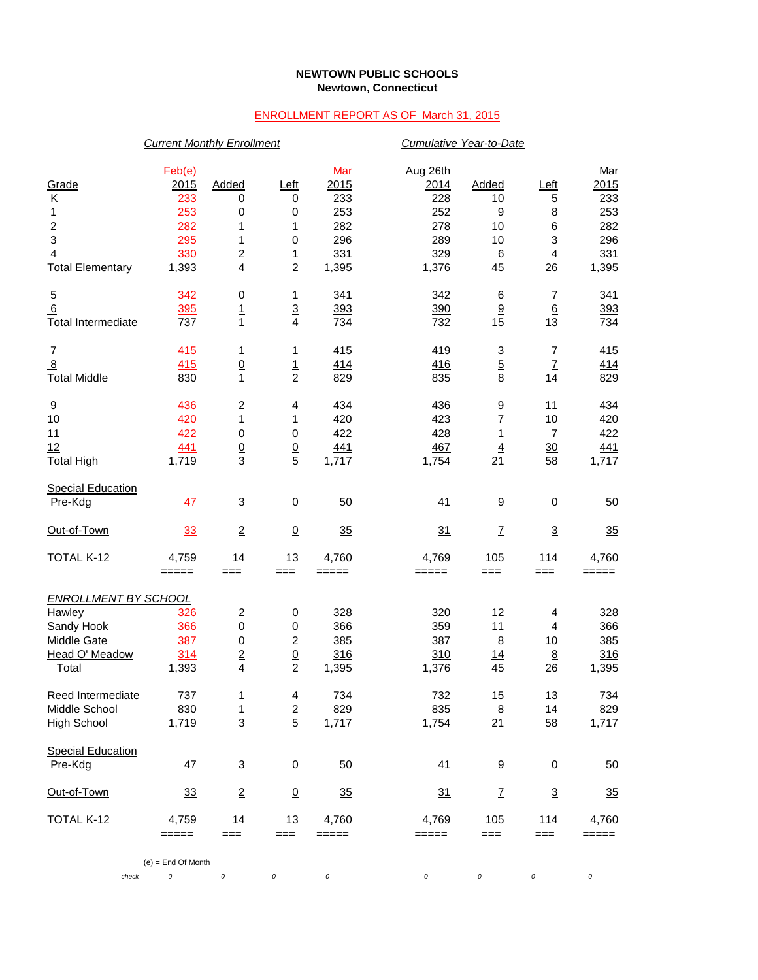## **NEWTOWN PUBLIC SCHOOLS Newtown, Connecticut**

## ENROLLMENT REPORT AS OF March 31, 2015

|                                                                                                           | <b>Current Monthly Enrollment</b>                          |                                                                                        |                                                                  |                                                         |                                                              | Cumulative Year-to-Date                 |                                                    |                                                         |  |  |
|-----------------------------------------------------------------------------------------------------------|------------------------------------------------------------|----------------------------------------------------------------------------------------|------------------------------------------------------------------|---------------------------------------------------------|--------------------------------------------------------------|-----------------------------------------|----------------------------------------------------|---------------------------------------------------------|--|--|
| Grade<br>Κ<br>1<br>$\overline{\mathbf{c}}$<br>$\overline{3}$<br>$\overline{4}$<br><b>Total Elementary</b> | Feb(e)<br>2015<br>233<br>253<br>282<br>295<br>330<br>1,393 | Added<br>0<br>0<br>1<br>1<br>$\overline{2}$<br>$\overline{\mathbf{4}}$                 | <u>Left</u><br>0<br>0<br>1<br>$\pmb{0}$<br>$\frac{1}{2}$         | Mar<br>2015<br>233<br>253<br>282<br>296<br>331<br>1,395 | Aug 26th<br>2014<br>228<br>252<br>278<br>289<br>329<br>1,376 | Added<br>10<br>9<br>10<br>10<br>6<br>45 | Left<br>5<br>8<br>6<br>3<br>$\overline{4}$<br>26   | Mar<br>2015<br>233<br>253<br>282<br>296<br>331<br>1,395 |  |  |
| 5<br>6<br><b>Total Intermediate</b>                                                                       | 342<br>395<br>737                                          | 0<br>$\overline{1}$<br>$\mathbf{1}$                                                    | 1<br>$\overline{3}$<br>$\overline{\mathbf{4}}$                   | 341<br>393<br>734                                       | 342<br>390<br>732                                            | 6<br>9<br>15                            | 7<br>$6\overline{6}$<br>13                         | 341<br>393<br>734                                       |  |  |
| $\overline{7}$<br>8<br><b>Total Middle</b>                                                                | 415<br>415<br>830                                          | 1<br>$\overline{0}$<br>1                                                               | 1<br>$\frac{1}{2}$                                               | 415<br>414<br>829                                       | 419<br>416<br>835                                            | 3<br>$\overline{5}$<br>8                | 7<br>$\ensuremath{\mathsf{Z}}$<br>14               | 415<br><u>414</u><br>829                                |  |  |
| 9<br>10<br>11<br>12<br><b>Total High</b>                                                                  | 436<br>420<br>422<br>441<br>1,719                          | 2<br>1<br>0<br>$\frac{0}{3}$                                                           | 4<br>1<br>$\pmb{0}$<br>$\frac{0}{5}$                             | 434<br>420<br>422<br><u>441</u><br>1,717                | 436<br>423<br>428<br>467<br>1,754                            | 9<br>7<br>1<br>$\overline{4}$<br>21     | 11<br>10<br>$\overline{7}$<br>$\frac{30}{2}$<br>58 | 434<br>420<br>422<br><u>441</u><br>1,717                |  |  |
| <b>Special Education</b><br>Pre-Kdg                                                                       | 47                                                         | 3                                                                                      | $\pmb{0}$                                                        | 50                                                      | 41                                                           | 9                                       | $\mathbf 0$                                        | 50                                                      |  |  |
| Out-of-Town                                                                                               | 33                                                         | $\overline{2}$                                                                         | $\overline{0}$                                                   | 35                                                      | 31                                                           | $\overline{I}$                          | $\overline{3}$                                     | 35                                                      |  |  |
| TOTAL K-12                                                                                                | 4,759<br>$=====$                                           | 14<br>$==$                                                                             | 13<br>===                                                        | 4,760<br>$=====$                                        | 4,769<br>=====                                               | 105<br>$==$                             | 114<br>===                                         | 4,760<br>$=====$                                        |  |  |
| <b>ENROLLMENT BY SCHOOL</b>                                                                               |                                                            |                                                                                        |                                                                  |                                                         |                                                              |                                         |                                                    |                                                         |  |  |
| Hawley<br>Sandy Hook<br>Middle Gate<br>Head O' Meadow<br>Total                                            | 326<br>366<br>387<br>314<br>1,393                          | $\overline{\mathbf{c}}$<br>0<br>$\pmb{0}$<br>$\overline{2}$<br>$\overline{\mathbf{4}}$ | $\boldsymbol{0}$<br>$\pmb{0}$<br>$\overline{c}$<br>$\frac{0}{2}$ | 328<br>366<br>385<br>316<br>1,395                       | 320<br>359<br>387<br>310<br>1,376                            | 12<br>11<br>8<br><u>14</u><br>45        | 4<br>4<br>10<br>8<br>26                            | 328<br>366<br>385<br>316<br>1,395                       |  |  |
| Reed Intermediate<br>Middle School<br><b>High School</b>                                                  | 737<br>830<br>1,719                                        | 1<br>1<br>3                                                                            | 4<br>$\overline{c}$<br>5                                         | 734<br>829<br>1,717                                     | 732<br>835<br>1,754                                          | 15<br>8<br>21                           | 13<br>14<br>58                                     | 734<br>829<br>1,717                                     |  |  |
| <b>Special Education</b><br>Pre-Kdg                                                                       | 47                                                         | 3                                                                                      | $\pmb{0}$                                                        | 50                                                      | 41                                                           | 9                                       | 0                                                  | 50                                                      |  |  |
| Out-of-Town                                                                                               | <u>33</u>                                                  | $\overline{2}$                                                                         | $\overline{0}$                                                   | 35                                                      | 31                                                           | $\mathbf{Z}$                            | $\overline{3}$                                     | 35                                                      |  |  |
| TOTAL K-12                                                                                                | 4,759<br>$=$ $=$ $=$ $=$                                   | 14<br>$==$                                                                             | 13<br>$==$                                                       | 4,760<br>=====                                          | 4,769<br>$=====$                                             | 105<br>===                              | 114<br>===                                         | 4,760<br>$=====$                                        |  |  |
|                                                                                                           | $(e) =$ End Of Month                                       |                                                                                        |                                                                  |                                                         |                                                              |                                         |                                                    |                                                         |  |  |
| check                                                                                                     | 0                                                          | 0                                                                                      | 0                                                                | $\cal O$                                                | 0                                                            | 0                                       | 0                                                  | 0                                                       |  |  |